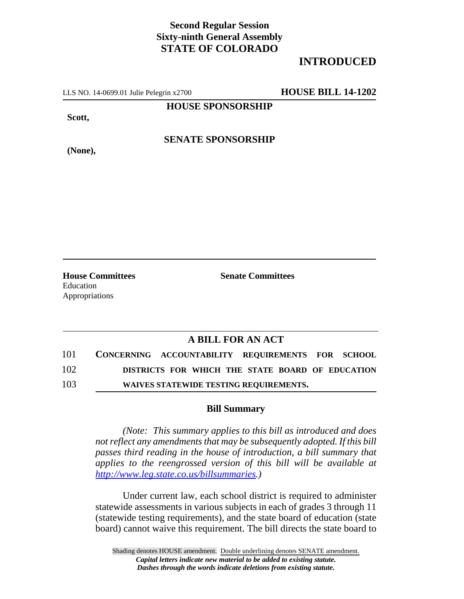## **Second Regular Session Sixty-ninth General Assembly STATE OF COLORADO**

# **INTRODUCED**

LLS NO. 14-0699.01 Julie Pelegrin x2700 **HOUSE BILL 14-1202**

**HOUSE SPONSORSHIP**

**Scott,**

**(None),**

**SENATE SPONSORSHIP**

**House Committees Senate Committees** Education Appropriations

## **A BILL FOR AN ACT**

101 **CONCERNING ACCOUNTABILITY REQUIREMENTS FOR SCHOOL** 102 **DISTRICTS FOR WHICH THE STATE BOARD OF EDUCATION**

103 **WAIVES STATEWIDE TESTING REQUIREMENTS.**

### **Bill Summary**

*(Note: This summary applies to this bill as introduced and does not reflect any amendments that may be subsequently adopted. If this bill passes third reading in the house of introduction, a bill summary that applies to the reengrossed version of this bill will be available at http://www.leg.state.co.us/billsummaries.)*

Under current law, each school district is required to administer statewide assessments in various subjects in each of grades 3 through 11 (statewide testing requirements), and the state board of education (state board) cannot waive this requirement. The bill directs the state board to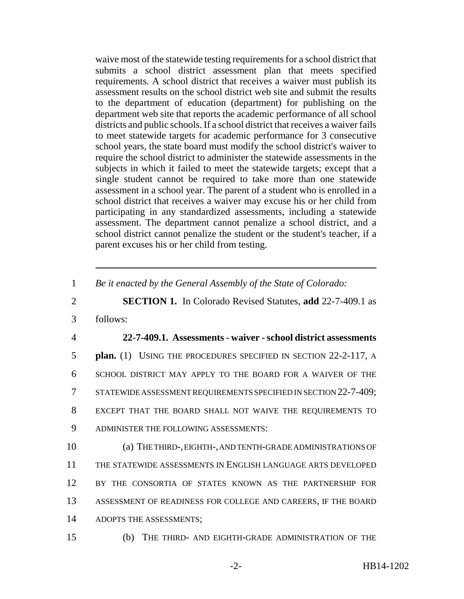waive most of the statewide testing requirements for a school district that submits a school district assessment plan that meets specified requirements. A school district that receives a waiver must publish its assessment results on the school district web site and submit the results to the department of education (department) for publishing on the department web site that reports the academic performance of all school districts and public schools. If a school district that receives a waiver fails to meet statewide targets for academic performance for 3 consecutive school years, the state board must modify the school district's waiver to require the school district to administer the statewide assessments in the subjects in which it failed to meet the statewide targets; except that a single student cannot be required to take more than one statewide assessment in a school year. The parent of a student who is enrolled in a school district that receives a waiver may excuse his or her child from participating in any standardized assessments, including a statewide assessment. The department cannot penalize a school district, and a school district cannot penalize the student or the student's teacher, if a parent excuses his or her child from testing.

1 *Be it enacted by the General Assembly of the State of Colorado:*

2 **SECTION 1.** In Colorado Revised Statutes, **add** 22-7-409.1 as

3 follows:

#### 4 **22-7-409.1. Assessments - waiver - school district assessments**

**plan.** (1) USING THE PROCEDURES SPECIFIED IN SECTION 22-2-117, A SCHOOL DISTRICT MAY APPLY TO THE BOARD FOR A WAIVER OF THE STATEWIDE ASSESSMENT REQUIREMENTS SPECIFIED IN SECTION 22-7-409; EXCEPT THAT THE BOARD SHALL NOT WAIVE THE REQUIREMENTS TO ADMINISTER THE FOLLOWING ASSESSMENTS:

 (a) THE THIRD-, EIGHTH-, AND TENTH-GRADE ADMINISTRATIONS OF THE STATEWIDE ASSESSMENTS IN ENGLISH LANGUAGE ARTS DEVELOPED BY THE CONSORTIA OF STATES KNOWN AS THE PARTNERSHIP FOR ASSESSMENT OF READINESS FOR COLLEGE AND CAREERS, IF THE BOARD ADOPTS THE ASSESSMENTS;

15 (b) THE THIRD- AND EIGHTH-GRADE ADMINISTRATION OF THE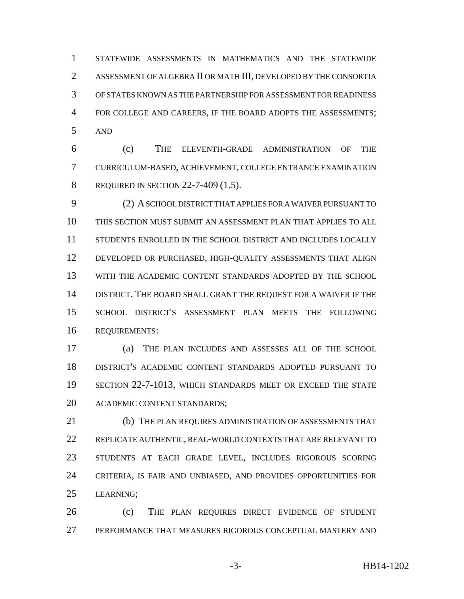STATEWIDE ASSESSMENTS IN MATHEMATICS AND THE STATEWIDE ASSESSMENT OF ALGEBRA II OR MATH III, DEVELOPED BY THE CONSORTIA OF STATES KNOWN AS THE PARTNERSHIP FOR ASSESSMENT FOR READINESS 4 FOR COLLEGE AND CAREERS, IF THE BOARD ADOPTS THE ASSESSMENTS; AND

 (c) THE ELEVENTH-GRADE ADMINISTRATION OF THE CURRICULUM-BASED, ACHIEVEMENT, COLLEGE ENTRANCE EXAMINATION REQUIRED IN SECTION 22-7-409 (1.5).

 (2) A SCHOOL DISTRICT THAT APPLIES FOR A WAIVER PURSUANT TO THIS SECTION MUST SUBMIT AN ASSESSMENT PLAN THAT APPLIES TO ALL STUDENTS ENROLLED IN THE SCHOOL DISTRICT AND INCLUDES LOCALLY DEVELOPED OR PURCHASED, HIGH-QUALITY ASSESSMENTS THAT ALIGN WITH THE ACADEMIC CONTENT STANDARDS ADOPTED BY THE SCHOOL DISTRICT. THE BOARD SHALL GRANT THE REQUEST FOR A WAIVER IF THE SCHOOL DISTRICT'S ASSESSMENT PLAN MEETS THE FOLLOWING REQUIREMENTS:

 (a) THE PLAN INCLUDES AND ASSESSES ALL OF THE SCHOOL DISTRICT'S ACADEMIC CONTENT STANDARDS ADOPTED PURSUANT TO SECTION 22-7-1013, WHICH STANDARDS MEET OR EXCEED THE STATE ACADEMIC CONTENT STANDARDS;

 (b) THE PLAN REQUIRES ADMINISTRATION OF ASSESSMENTS THAT REPLICATE AUTHENTIC, REAL-WORLD CONTEXTS THAT ARE RELEVANT TO STUDENTS AT EACH GRADE LEVEL, INCLUDES RIGOROUS SCORING CRITERIA, IS FAIR AND UNBIASED, AND PROVIDES OPPORTUNITIES FOR LEARNING;

 (c) THE PLAN REQUIRES DIRECT EVIDENCE OF STUDENT PERFORMANCE THAT MEASURES RIGOROUS CONCEPTUAL MASTERY AND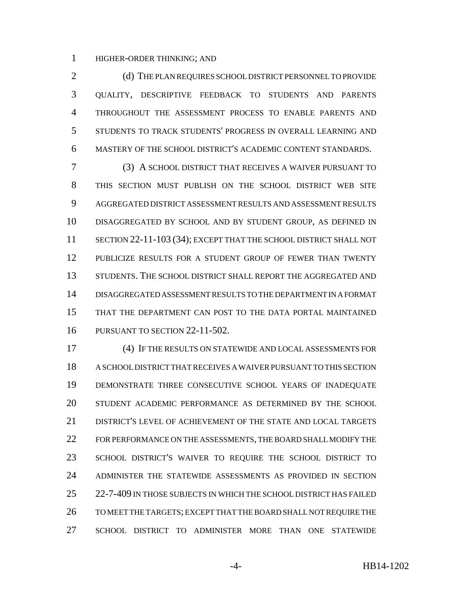HIGHER-ORDER THINKING; AND

2 (d) THE PLAN REQUIRES SCHOOL DISTRICT PERSONNEL TO PROVIDE QUALITY, DESCRIPTIVE FEEDBACK TO STUDENTS AND PARENTS THROUGHOUT THE ASSESSMENT PROCESS TO ENABLE PARENTS AND STUDENTS TO TRACK STUDENTS' PROGRESS IN OVERALL LEARNING AND MASTERY OF THE SCHOOL DISTRICT'S ACADEMIC CONTENT STANDARDS.

 (3) A SCHOOL DISTRICT THAT RECEIVES A WAIVER PURSUANT TO THIS SECTION MUST PUBLISH ON THE SCHOOL DISTRICT WEB SITE AGGREGATED DISTRICT ASSESSMENT RESULTS AND ASSESSMENT RESULTS DISAGGREGATED BY SCHOOL AND BY STUDENT GROUP, AS DEFINED IN 11 SECTION 22-11-103 (34); EXCEPT THAT THE SCHOOL DISTRICT SHALL NOT PUBLICIZE RESULTS FOR A STUDENT GROUP OF FEWER THAN TWENTY STUDENTS. THE SCHOOL DISTRICT SHALL REPORT THE AGGREGATED AND DISAGGREGATED ASSESSMENT RESULTS TO THE DEPARTMENT IN A FORMAT THAT THE DEPARTMENT CAN POST TO THE DATA PORTAL MAINTAINED PURSUANT TO SECTION 22-11-502.

 (4) IF THE RESULTS ON STATEWIDE AND LOCAL ASSESSMENTS FOR A SCHOOL DISTRICT THAT RECEIVES A WAIVER PURSUANT TO THIS SECTION DEMONSTRATE THREE CONSECUTIVE SCHOOL YEARS OF INADEQUATE STUDENT ACADEMIC PERFORMANCE AS DETERMINED BY THE SCHOOL DISTRICT'S LEVEL OF ACHIEVEMENT OF THE STATE AND LOCAL TARGETS FOR PERFORMANCE ON THE ASSESSMENTS, THE BOARD SHALL MODIFY THE SCHOOL DISTRICT'S WAIVER TO REQUIRE THE SCHOOL DISTRICT TO ADMINISTER THE STATEWIDE ASSESSMENTS AS PROVIDED IN SECTION 25 22-7-409 IN THOSE SUBJECTS IN WHICH THE SCHOOL DISTRICT HAS FAILED TO MEET THE TARGETS; EXCEPT THAT THE BOARD SHALL NOT REQUIRE THE SCHOOL DISTRICT TO ADMINISTER MORE THAN ONE STATEWIDE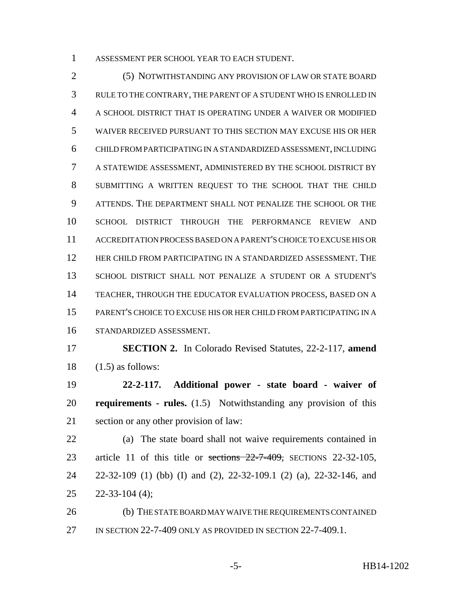ASSESSMENT PER SCHOOL YEAR TO EACH STUDENT.

 (5) NOTWITHSTANDING ANY PROVISION OF LAW OR STATE BOARD RULE TO THE CONTRARY, THE PARENT OF A STUDENT WHO IS ENROLLED IN A SCHOOL DISTRICT THAT IS OPERATING UNDER A WAIVER OR MODIFIED WAIVER RECEIVED PURSUANT TO THIS SECTION MAY EXCUSE HIS OR HER CHILD FROM PARTICIPATING IN A STANDARDIZED ASSESSMENT, INCLUDING A STATEWIDE ASSESSMENT, ADMINISTERED BY THE SCHOOL DISTRICT BY SUBMITTING A WRITTEN REQUEST TO THE SCHOOL THAT THE CHILD ATTENDS. THE DEPARTMENT SHALL NOT PENALIZE THE SCHOOL OR THE SCHOOL DISTRICT THROUGH THE PERFORMANCE REVIEW AND ACCREDITATION PROCESS BASED ON A PARENT'S CHOICE TO EXCUSE HIS OR HER CHILD FROM PARTICIPATING IN A STANDARDIZED ASSESSMENT. THE SCHOOL DISTRICT SHALL NOT PENALIZE A STUDENT OR A STUDENT'S TEACHER, THROUGH THE EDUCATOR EVALUATION PROCESS, BASED ON A PARENT'S CHOICE TO EXCUSE HIS OR HER CHILD FROM PARTICIPATING IN A STANDARDIZED ASSESSMENT.

 **SECTION 2.** In Colorado Revised Statutes, 22-2-117, **amend**  $18 \quad (1.5)$  as follows:

 **22-2-117. Additional power - state board - waiver of requirements - rules.** (1.5) Notwithstanding any provision of this section or any other provision of law:

 (a) The state board shall not waive requirements contained in 23 article 11 of this title or sections 22-7-409, SECTIONS 22-32-105, 22-32-109 (1) (bb) (I) and (2), 22-32-109.1 (2) (a), 22-32-146, and 22-33-104 (4);

 (b) THE STATE BOARD MAY WAIVE THE REQUIREMENTS CONTAINED 27 IN SECTION 22-7-409 ONLY AS PROVIDED IN SECTION 22-7-409.1.